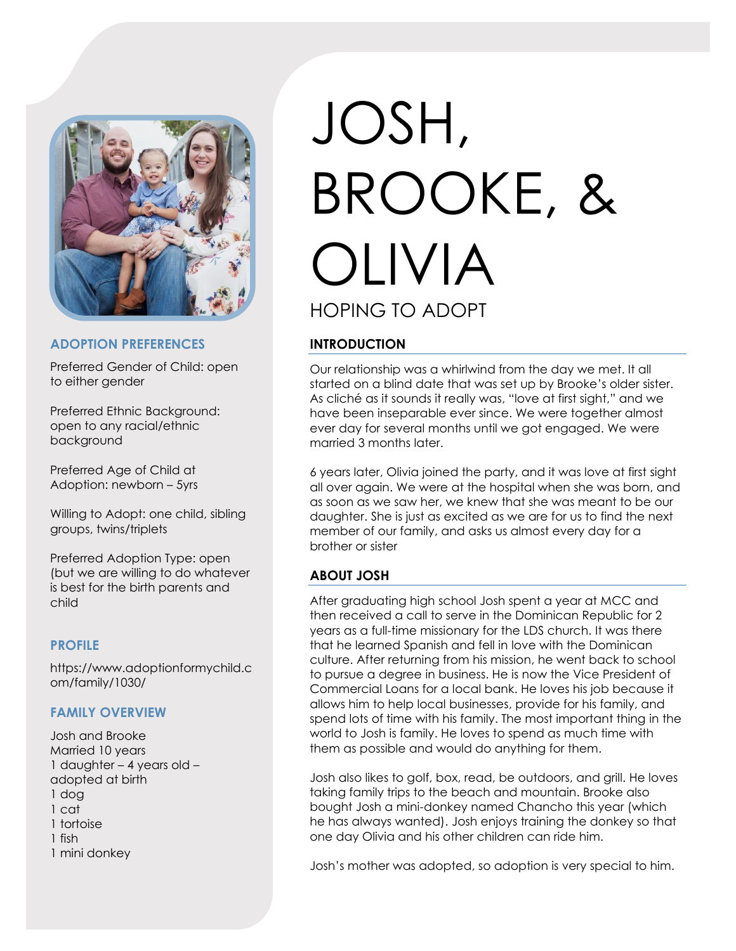

#### **ADOPTION PREFERENCES**

Preferred Gender of Child: open to either gender

Preferred Ethnic Background: open to any racial/ethnic background

Preferred Age of Child at Adoption: newborn – 5yrs

Willing to Adopt: one child, sibling groups, twins/triplets

Preferred Adoption Type: open (but we are willing to do whatever is best for the birth parents and child

#### **PROFILE**

https://www.adoptionformychild.c om/family/1030/

#### **FAMILY OVERVIEW**

Josh and Brooke Married 10 years 1 daughter – 4 years old – adopted at birth 1 dog 1 cat 1 tortoise 1 fish 1 mini donkey

# JOSH, BROOKE, & OLIVIA HOPING TO ADOPT

## **INTRODUCTION**

Our relationship was a whirlwind from the day we met. It all started on a blind date that was set up by Brooke's older sister. As cliché as it sounds it really was, "love at first sight," and we have been inseparable ever since. We were together almost ever day for several months until we got engaged. We were married 3 months later.

6 years later, Olivia joined the party, and it was love at first sight all over again. We were at the hospital when she was born, and as soon as we saw her, we knew that she was meant to be our daughter. She is just as excited as we are for us to find the next member of our family, and asks us almost every day for a brother or sister

#### **ABOUT JOSH**

After graduating high school Josh spent a year at MCC and then received a call to serve in the Dominican Republic for 2 years as a full-time missionary for the LDS church. It was there that he learned Spanish and fell in love with the Dominican culture. After returning from his mission, he went back to school to pursue a degree in business. He is now the Vice President of Commercial Loans for a local bank. He loves his job because it allows him to help local businesses, provide for his family, and spend lots of time with his family. The most important thing in the world to Josh is family. He loves to spend as much time with them as possible and would do anything for them.

Josh also likes to golf, box, read, be outdoors, and grill. He loves taking family trips to the beach and mountain. Brooke also bought Josh a mini-donkey named Chancho this year (which he has always wanted). Josh enjoys training the donkey so that one day Olivia and his other children can ride him.

Josh's mother was adopted, so adoption is very special to him.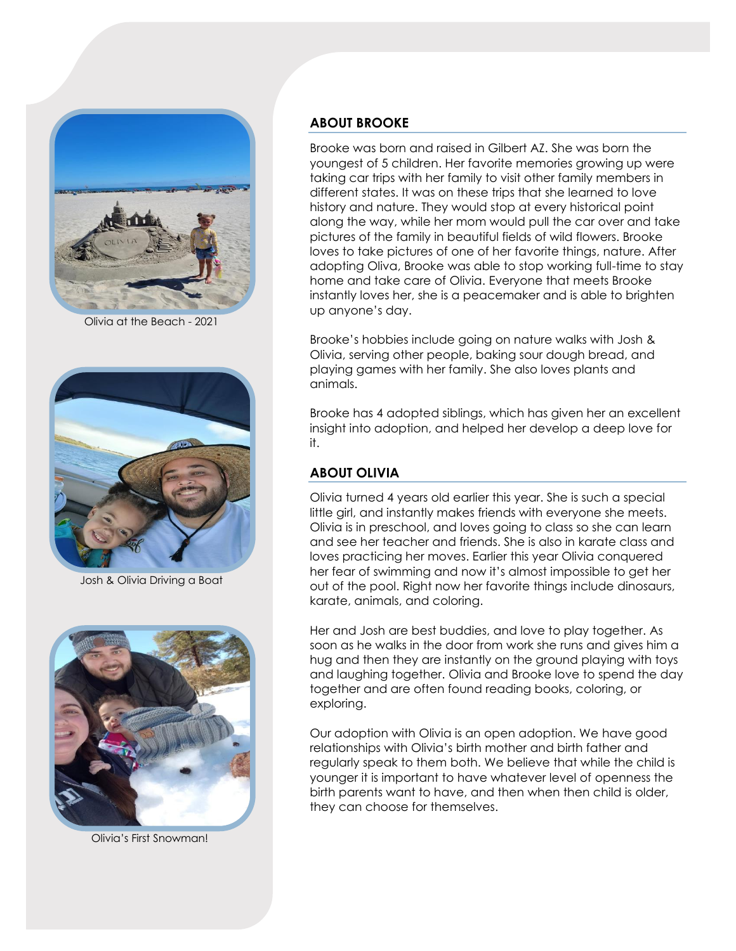

Olivia at the Beach - 2021



Josh & Olivia Driving a Boat



Olivia's First Snowman!

## **ABOUT BROOKE**

Brooke was born and raised in Gilbert AZ. She was born the youngest of 5 children. Her favorite memories growing up were taking car trips with her family to visit other family members in different states. It was on these trips that she learned to love history and nature. They would stop at every historical point along the way, while her mom would pull the car over and take pictures of the family in beautiful fields of wild flowers. Brooke loves to take pictures of one of her favorite things, nature. After adopting Oliva, Brooke was able to stop working full-time to stay home and take care of Olivia. Everyone that meets Brooke instantly loves her, she is a peacemaker and is able to brighten up anyone's day.

Brooke's hobbies include going on nature walks with Josh & Olivia, serving other people, baking sour dough bread, and playing games with her family. She also loves plants and animals.

Brooke has 4 adopted siblings, which has given her an excellent insight into adoption, and helped her develop a deep love for it.

## **ABOUT OLIVIA**

Olivia turned 4 years old earlier this year. She is such a special little girl, and instantly makes friends with everyone she meets. Olivia is in preschool, and loves going to class so she can learn and see her teacher and friends. She is also in karate class and loves practicing her moves. Earlier this year Olivia conquered her fear of swimming and now it's almost impossible to get her out of the pool. Right now her favorite things include dinosaurs, karate, animals, and coloring.

Her and Josh are best buddies, and love to play together. As soon as he walks in the door from work she runs and gives him a hug and then they are instantly on the ground playing with toys and laughing together. Olivia and Brooke love to spend the day together and are often found reading books, coloring, or exploring.

Our adoption with Olivia is an open adoption. We have good relationships with Olivia's birth mother and birth father and regularly speak to them both. We believe that while the child is younger it is important to have whatever level of openness the birth parents want to have, and then when then child is older, they can choose for themselves.